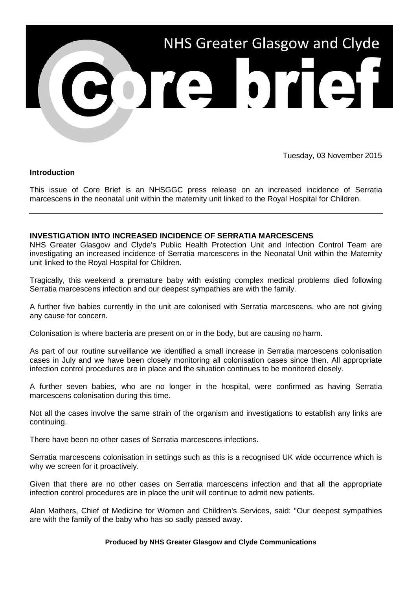

Tuesday, 03 November 2015

## **Introduction**

This issue of Core Brief is an NHSGGC press release on an increased incidence of Serratia marcescens in the neonatal unit within the maternity unit linked to the Royal Hospital for Children.

## **INVESTIGATION INTO INCREASED INCIDENCE OF SERRATIA MARCESCENS**

NHS Greater Glasgow and Clyde's Public Health Protection Unit and Infection Control Team are investigating an increased incidence of Serratia marcescens in the Neonatal Unit within the Maternity unit linked to the Royal Hospital for Children.

Tragically, this weekend a premature baby with existing complex medical problems died following Serratia marcescens infection and our deepest sympathies are with the family.

A further five babies currently in the unit are colonised with Serratia marcescens, who are not giving any cause for concern.

Colonisation is where bacteria are present on or in the body, but are causing no harm.

As part of our routine surveillance we identified a small increase in Serratia marcescens colonisation cases in July and we have been closely monitoring all colonisation cases since then. All appropriate infection control procedures are in place and the situation continues to be monitored closely.

A further seven babies, who are no longer in the hospital, were confirmed as having Serratia marcescens colonisation during this time.

Not all the cases involve the same strain of the organism and investigations to establish any links are continuing.

There have been no other cases of Serratia marcescens infections.

Serratia marcescens colonisation in settings such as this is a recognised UK wide occurrence which is why we screen for it proactively.

Given that there are no other cases on Serratia marcescens infection and that all the appropriate infection control procedures are in place the unit will continue to admit new patients.

Alan Mathers, Chief of Medicine for Women and Children's Services, said: "Our deepest sympathies are with the family of the baby who has so sadly passed away.

## **Produced by NHS Greater Glasgow and Clyde Communications**